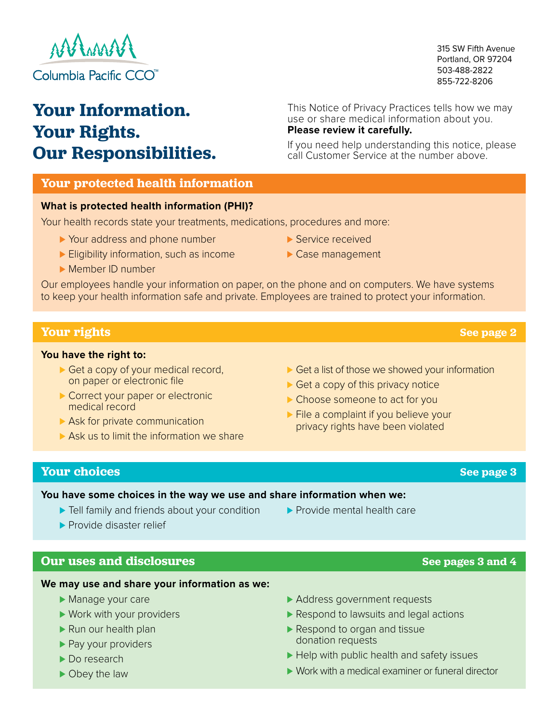

# **Your Information. Your Rights. Our Responsibilities.**

This Notice of Privacy Practices tells how we may use or share medical information about you. **Please review it carefully.**

If you need help understanding this notice, please call Customer Service at the number above.

## **Your protected health information**

## **What is protected health information (PHI)?**

Your health records state your treatments, medications, procedures and more:

- ▶ Your address and phone number
- ► Eligibility information, such as income
- ⊲ Member ID number
- Our employees handle your information on paper, on the phone and on computers. We have systems to keep your health information safe and private. Employees are trained to protect your information.

## **Your rights**

### **You have the right to:**

- ► Get a copy of your medical record, on paper or electronic file
- ► Correct your paper or electronic medical record
- ▶ Ask for private communication
- ► Ask us to limit the information we share
- ► Get a list of those we showed your information
- ► Get a copy of this privacy notice
- ► Choose someone to act for you
- privacy rights have been violated

## **Your choices**

## **You have some choices in the way we use and share information when we:**

- ► Tell family and friends about your condition
- ▶ Provide disaster relief

## **Our uses and disclosures**

### **We may use and share your information as we:**

- ► Manage your care
- ► Work with your providers
- ► Run our health plan
- ▶ Pay your providers
- ► Do research
- ► Obey the law

▶ Provide mental health care

- ► Address government requests
- ▶ Respond to lawsuits and legal actions
- ▶ Respond to organ and tissue donation requests
- ► Help with public health and safety issues
- ⊲ Work with a medical examiner or funeral director

► File a complaint if you believe your

**See page 3**

## **See pages 3 and 4**

## **See page 2**

315 SW Fifth Avenue Portland, OR 97204 503-488-2822 855-722-8206

▶ Service received ► Case management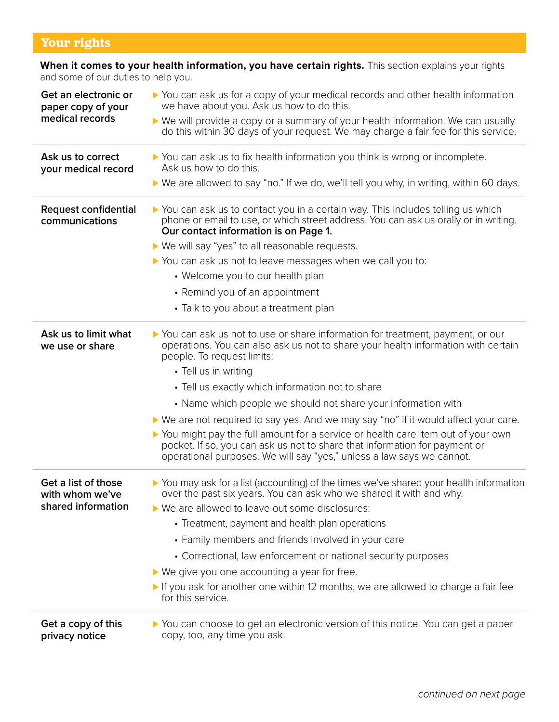## **Your rights**

### **When it comes to your health information, you have certain rights.** This section explains your rights and some of our duties to help you.

| Get an electronic or<br>paper copy of your | ▶ You can ask us for a copy of your medical records and other health information<br>we have about you. Ask us how to do this.                                                                                                            |
|--------------------------------------------|------------------------------------------------------------------------------------------------------------------------------------------------------------------------------------------------------------------------------------------|
| medical records                            | ▶ We will provide a copy or a summary of your health information. We can usually<br>do this within 30 days of your request. We may charge a fair fee for this service.                                                                   |
| Ask us to correct<br>your medical record   | ▶ You can ask us to fix health information you think is wrong or incomplete.<br>Ask us how to do this.                                                                                                                                   |
|                                            | ▶ We are allowed to say "no." If we do, we'll tell you why, in writing, within 60 days.                                                                                                                                                  |
| Request confidential<br>communications     | ▶ You can ask us to contact you in a certain way. This includes telling us which<br>phone or email to use, or which street address. You can ask us orally or in writing.<br>Our contact information is on Page 1.                        |
|                                            | ▶ We will say "yes" to all reasonable requests.                                                                                                                                                                                          |
|                                            | ▶ You can ask us not to leave messages when we call you to:                                                                                                                                                                              |
|                                            | • Welcome you to our health plan                                                                                                                                                                                                         |
|                                            | • Remind you of an appointment                                                                                                                                                                                                           |
|                                            | • Talk to you about a treatment plan                                                                                                                                                                                                     |
| Ask us to limit what<br>we use or share    | ▶ You can ask us not to use or share information for treatment, payment, or our<br>operations. You can also ask us not to share your health information with certain<br>people. To request limits:                                       |
|                                            | • Tell us in writing                                                                                                                                                                                                                     |
|                                            | • Tell us exactly which information not to share                                                                                                                                                                                         |
|                                            | • Name which people we should not share your information with                                                                                                                                                                            |
|                                            | ► We are not required to say yes. And we may say "no" if it would affect your care.                                                                                                                                                      |
|                                            | ▶ You might pay the full amount for a service or health care item out of your own<br>pocket. If so, you can ask us not to share that information for payment or<br>operational purposes. We will say "yes," unless a law says we cannot. |
| Get a list of those<br>with whom we've     | ▶ You may ask for a list (accounting) of the times we've shared your health information<br>over the past six years. You can ask who we shared it with and why.                                                                           |
| shared information                         | ▶ We are allowed to leave out some disclosures:                                                                                                                                                                                          |
|                                            | • Treatment, payment and health plan operations                                                                                                                                                                                          |
|                                            | • Family members and friends involved in your care                                                                                                                                                                                       |
|                                            | • Correctional, law enforcement or national security purposes                                                                                                                                                                            |
|                                            | $\triangleright$ We give you one accounting a year for free.                                                                                                                                                                             |
|                                            | If you ask for another one within 12 months, we are allowed to charge a fair fee<br>for this service.                                                                                                                                    |
| Get a copy of this<br>privacy notice       | ▶ You can choose to get an electronic version of this notice. You can get a paper<br>copy, too, any time you ask.                                                                                                                        |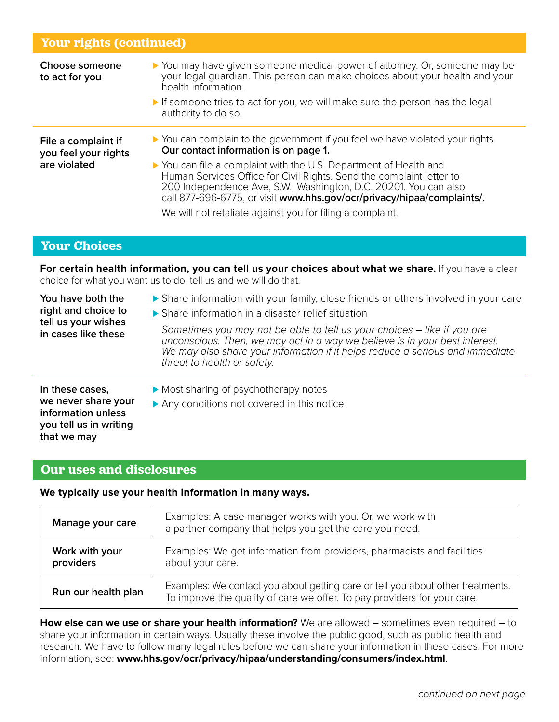## **Your rights (continued)**

| Choose someone<br>to act for you                            | ▶ You may have given someone medical power of attorney. Or, someone may be<br>your legal quardian. This person can make choices about your health and your<br>health information.<br>If someone tries to act for you, we will make sure the person has the legal<br>authority to do so.                                                                                                                                                                                         |
|-------------------------------------------------------------|---------------------------------------------------------------------------------------------------------------------------------------------------------------------------------------------------------------------------------------------------------------------------------------------------------------------------------------------------------------------------------------------------------------------------------------------------------------------------------|
| File a complaint if<br>you feel your rights<br>are violated | ▶ You can complain to the government if you feel we have violated your rights.<br>Our contact information is on page 1.<br>▶ You can file a complaint with the U.S. Department of Health and<br>Human Services Office for Civil Rights. Send the complaint letter to<br>200 Independence Ave, S.W., Washington, D.C. 20201. You can also<br>call 877-696-6775, or visit www.hhs.gov/ocr/privacy/hipaa/complaints/.<br>We will not retaliate against you for filing a complaint. |

## **Your Choices**

**that we may**

**For certain health information, you can tell us your choices about what we share.** If you have a clear choice for what you want us to do, tell us and we will do that.

| You have both the<br>right and choice to<br>tell us your wishes<br>in cases like these | Share information with your family, close friends or others involved in your care<br>▶ Share information in a disaster relief situation                                                                                                                                |
|----------------------------------------------------------------------------------------|------------------------------------------------------------------------------------------------------------------------------------------------------------------------------------------------------------------------------------------------------------------------|
|                                                                                        | Sometimes you may not be able to tell us your choices – like if you are<br>unconscious. Then, we may act in a way we believe is in your best interest.<br>We may also share your information if it helps reduce a serious and immediate<br>threat to health or safety. |
| In these cases,<br>we never share your<br>information unless<br>you tell us in writing | Most sharing of psychotherapy notes<br>Any conditions not covered in this notice                                                                                                                                                                                       |

## **Our uses and disclosures**

### **We typically use your health information in many ways.**

| Manage your care            | Examples: A case manager works with you. Or, we work with<br>a partner company that helps you get the care you need.                                        |
|-----------------------------|-------------------------------------------------------------------------------------------------------------------------------------------------------------|
| Work with your<br>providers | Examples: We get information from providers, pharmacists and facilities<br>about your care.                                                                 |
| Run our health plan         | Examples: We contact you about getting care or tell you about other treatments.<br>To improve the quality of care we offer. To pay providers for your care. |

**How else can we use or share your health information?** We are allowed – sometimes even required – to share your information in certain ways. Usually these involve the public good, such as public health and research. We have to follow many legal rules before we can share your information in these cases. For more information, see: **www.hhs.gov/ocr/privacy/hipaa/understanding/consumers/index.html**.